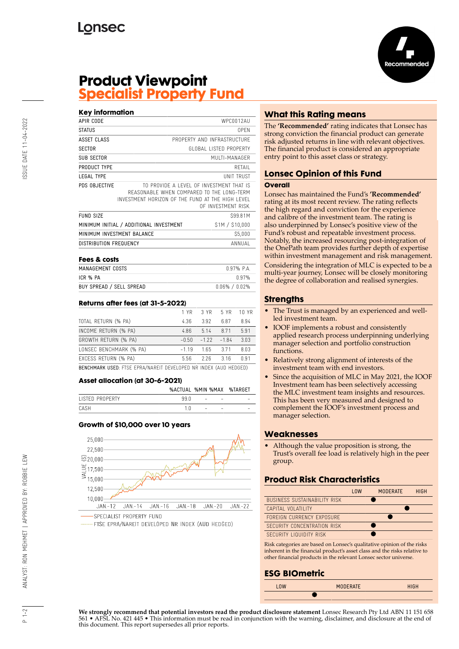

# **Product Viewpoint Specialist Property Fund**

| <b>Key information</b>     |                                                                                                                                            |                             |
|----------------------------|--------------------------------------------------------------------------------------------------------------------------------------------|-----------------------------|
| APIR CODE                  |                                                                                                                                            | WPC0012AU                   |
| <b>STATUS</b>              |                                                                                                                                            | 0PFN                        |
| ASSET CLASS                |                                                                                                                                            | PROPERTY AND INFRASTRUCTURE |
| <b>SECTOR</b>              |                                                                                                                                            | GLOBAL LISTED PROPERTY      |
| SUB SECTOR                 |                                                                                                                                            | MULTI-MANAGER               |
| PRODUCT TYPE               |                                                                                                                                            | RFTAIL                      |
| <b>LEGAL TYPE</b>          |                                                                                                                                            | <b>UNIT TRUST</b>           |
| PDS OBJECTIVE              | TO PROVIDE A LEVEL OF INVESTMENT THAT IS<br>REASONABLE WHEN COMPARED TO THE LONG-TERM<br>INVESTMENT HORIZON OF THE FUND AT THE HIGH I EVEL | OF INVESTMENT RISK.         |
| <b>FUND SIZE</b>           |                                                                                                                                            | S99.81M                     |
|                            | MINIMUM INITIAL / ADDITIONAL INVESTMENT                                                                                                    | \$1M / \$10,000             |
| MINIMUM INVESTMENT BALANCE |                                                                                                                                            | \$5,000                     |
| DISTRIBUTION FREQUENCY     |                                                                                                                                            | ANNUAL                      |

| Fees & costs             |                   |
|--------------------------|-------------------|
| MANAGEMENT COSTS         | $0.97%$ P.A.      |
| ICR % PA                 | 0.97%             |
| BUY SPREAD / SELL SPREAD | $0.06\% / 0.02\%$ |

### **Returns after fees (at 31-5-2022)**

|                                                                          | 1 YR    | 3 YR 5 YR |         | 10 YR |
|--------------------------------------------------------------------------|---------|-----------|---------|-------|
| TOTAL RETURN (% PA)                                                      | 4.36    | 3.92      | 6.87    | 8.94  |
| INCOME RETURN (% PA)                                                     | 4.86    | 5.14      | 8.71    | 5.91  |
| GROWTH RETURN (% PA)                                                     | $-0.50$ | $-1.22$   | $-1.84$ | 3.03  |
| LONSEC BENCHMARK (% PA)                                                  | $-1.19$ | 1.65      | 3.71    | 8.03  |
| EXCESS RETURN (% PA)                                                     | 5.56    | 2.26      | 3.16    | n 91  |
| <b>DEMPUMARY HOER FTOF FROM MIAREIT REVELORED ND INDEV (ALIB HERPER)</b> |         |           |         |       |

BENCHMARK USED: FTSE EPRA/NAREIT DEVELOPED NR INDEX (AUD HEDGED)

#### **Asset allocation (at 30-6-2021)**

|                 |      |                               | %ACTUAL %MIN %MAX %TARGET |
|-----------------|------|-------------------------------|---------------------------|
| LISTED PROPERTY | 99 N | and the contract of the con-  | $\sim$                    |
| <b>CASH</b>     |      | the company of the company of | $\sim$ $-$                |

### **Growth of \$10,000 over 10 years**



SPECIALIST PROPERTY FUND

FTSE EPRA/NAREIT DEVELOPED NR INDEX (AUD HEDGED)

### **What this Rating means**

The **'Recommended'** rating indicates that Lonsec has strong conviction the financial product can generate risk adjusted returns in line with relevant objectives. The financial product is considered an appropriate entry point to this asset class or strategy.

# **Lonsec Opinion of this Fund**

#### **Overall**

Lonsec has maintained the Fund's **'Recommended'** rating at its most recent review. The rating reflects the high regard and conviction for the experience and calibre of the investment team. The rating is also underpinned by Lonsec's positive view of the Fund's robust and repeatable investment process. Notably, the increased resourcing post-integration of the OnePath team provides further depth of expertise within investment management and risk management. Considering the integration of MLC is expected to be a multi-year journey, Lonsec will be closely monitoring the degree of collaboration and realised synergies.

### **Strengths**

- The Trust is managed by an experienced and wellled investment team.
- IOOF implements a robust and consistently applied research process underpinning underlying manager selection and portfolio construction functions.
- Relatively strong alignment of interests of the investment team with end investors.
- Since the acquisition of MLC in May 2021, the IOOF Investment team has been selectively accessing the MLC investment team insights and resources. This has been very measured and designed to complement the IOOF's investment process and manager selection.

#### **Weaknesses**

• Although the value proposition is strong, the Trust's overall fee load is relatively high in the peer group.

## **Product Risk Characteristics**

|                                     | 10W | <b>MODERATE</b> | <b>HIGH</b> |
|-------------------------------------|-----|-----------------|-------------|
| <b>BUSINESS SUSTAINABILITY RISK</b> |     |                 |             |
| CAPITAL VOLATILITY                  |     |                 |             |
| FORFIGN CURRENCY EXPOSURE           |     |                 |             |
| SECURITY CONCENTRATION RISK         |     |                 |             |
| SECURITY LIQUIDITY RISK             |     |                 |             |

Risk categories are based on Lonsec's qualitative opinion of the risks inherent in the financial product's asset class and the risks relative to other financial products in the relevant Lonsec sector universe.

### **ESG BIOmetric**

| 10W | <b>MODERATE</b> | <b>HIGH</b> |
|-----|-----------------|-------------|
|     |                 |             |

**We strongly recommend that potential investors read the product disclosure statement** Lonsec Research Pty Ltd ABN 11 151 658 561 • AFSL No. 421 445 • This information must be read in conjunction with the warning, disclaimer, and disclosure at the end of this document. This report supersedes all prior reports.